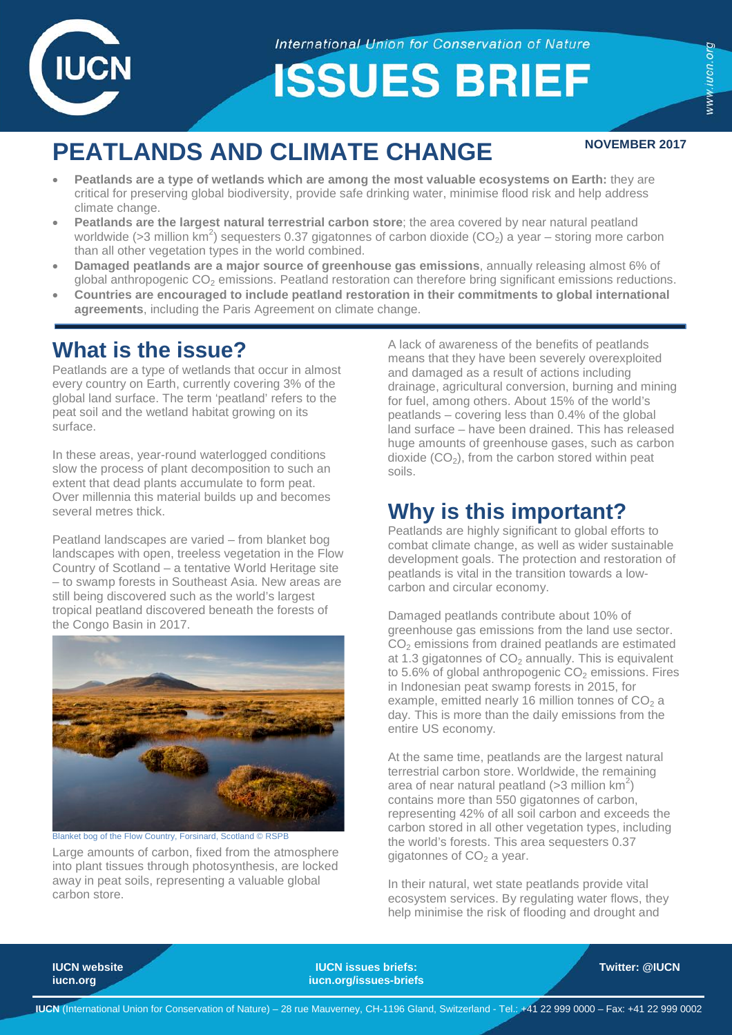

**International Union for Conservation of Nature** 

**ISSUES BRIEF** 

www.iucn.org

# **PEATLANDS AND CLIMATE CHANGE** NOVEMBER 2017

- **Peatlands are a type of wetlands which are among the most valuable ecosystems on Earth:** they are critical for preserving global biodiversity, provide safe drinking water, minimise flood risk and help address climate change.
- **Peatlands are the largest natural terrestrial carbon store**; the area covered by near natural peatland worldwide (>3 million km<sup>2</sup>) sequesters 0.37 gigatonnes of carbon dioxide (CO<sub>2</sub>) a year – storing more carbon than all other vegetation types in the world combined.
- **Damaged peatlands are a major source of greenhouse gas emissions**, annually releasing almost 6% of global anthropogenic CO<sub>2</sub> emissions. Peatland restoration can therefore bring significant emissions reductions.
- **Countries are encouraged to include peatland restoration in their commitments to global international agreements**, including the Paris Agreement on climate change.

## **What is the issue?**

Peatlands are a type of wetlands that occur in almost every country on Earth, currently covering 3% of the global land surface. The term 'peatland' refers to the peat soil and the wetland habitat growing on its surface.

In these areas, year-round waterlogged conditions slow the process of plant decomposition to such an extent that dead plants accumulate to form peat. Over millennia this material builds up and becomes several metres thick.

Peatland landscapes are varied – from blanket bog landscapes with open, treeless vegetation in the Flow Country of Scotland – a tentative World Heritage site – to swamp forests in Southeast Asia. New areas are still being discovered such as the world's largest tropical peatland discovered beneath the forests of the Congo Basin in 2017.



Blanket bog of the Flow Country, Forsinard, Scotland © RSPI

Large amounts of carbon, fixed from the atmosphere into plant tissues through photosynthesis, are locked away in peat soils, representing a valuable global carbon store.

A lack of awareness of the benefits of peatlands means that they have been severely overexploited and damaged as a result of actions including drainage, agricultural conversion, burning and mining for fuel, among others. About 15% of the world's peatlands – covering less than 0.4% of the global land surface – have been drained. This has released huge amounts of greenhouse gases, such as carbon dioxide  $(CO<sub>2</sub>)$ , from the carbon stored within peat soils.

## **Why is this important?**

Peatlands are highly significant to global efforts to combat climate change, as well as wider sustainable development goals. The protection and restoration of peatlands is vital in the transition towards a lowcarbon and circular economy.

Damaged peatlands contribute about 10% of greenhouse gas emissions from the land use sector.  $CO<sub>2</sub>$  emissions from drained peatlands are estimated at 1.3 gigatonnes of  $CO<sub>2</sub>$  annually. This is equivalent to 5.6% of global anthropogenic  $CO<sub>2</sub>$  emissions. Fires in Indonesian peat swamp forests in 2015, for example, emitted nearly 16 million tonnes of  $CO<sub>2</sub>$  a day. This is more than the daily emissions from the entire US economy.

At the same time, peatlands are the largest natural terrestrial carbon store. Worldwide, the remaining area of near natural peatland (>3 million  $km^2$ ) contains more than 550 gigatonnes of carbon, representing 42% of all soil carbon and exceeds the carbon stored in all other vegetation types, including the world's forests. This area sequesters 0.37 gigatonnes of  $CO<sub>2</sub>$  a year.

In their natural, wet state peatlands provide vital ecosystem services. By regulating water flows, they help minimise the risk of flooding and drought and

**IUCN website IUCN issues briefs: Twitter: [@IUCN](https://twitter.com/iucn) [iucn.org](http://www.iucn.org/) iucn.org/issues-briefs**